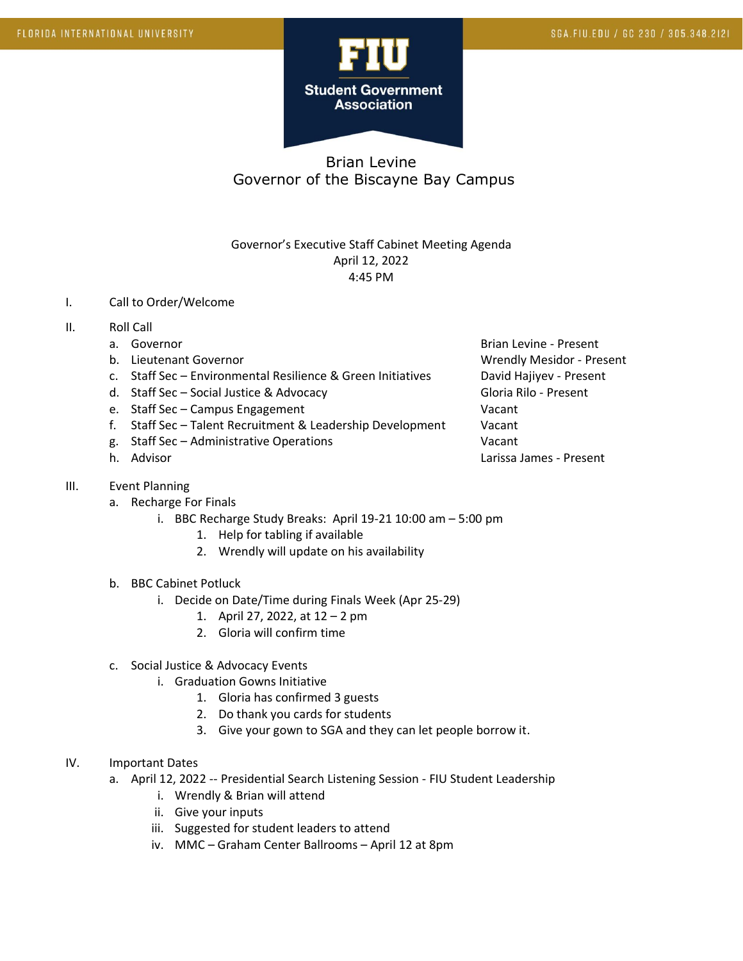

## Brian Levine Governor of the Biscayne Bay Campus

## Governor's Executive Staff Cabinet Meeting Agenda April 12, 2022 4:45 PM

- I. Call to Order/Welcome
- II. Roll Call
	-
	-
	- c. Staff Sec Environmental Resilience & Green Initiatives David Hajiyev Present
	- d. Staff Sec Social Justice & Advocacy Contract Contract Gloria Rilo Present
	- e. Staff Sec Campus Engagement Vacant
	- f. Staff Sec Talent Recruitment & Leadership Development Vacant
	- g. Staff Sec Administrative Operations Vacant
	-
- III. Event Planning
	- a. Recharge For Finals
		- i. BBC Recharge Study Breaks: April 19-21 10:00 am 5:00 pm
			- 1. Help for tabling if available
			- 2. Wrendly will update on his availability
	- b. BBC Cabinet Potluck
		- i. Decide on Date/Time during Finals Week (Apr 25-29)
			- 1. April 27, 2022, at 12 2 pm
			- 2. Gloria will confirm time
	- c. Social Justice & Advocacy Events
		- i. Graduation Gowns Initiative
			- 1. Gloria has confirmed 3 guests
			- 2. Do thank you cards for students
			- 3. Give your gown to SGA and they can let people borrow it.
- IV. Important Dates
	- a. April 12, 2022 -- Presidential Search Listening Session FIU Student Leadership
		- i. Wrendly & Brian will attend
		- ii. Give your inputs
		- iii. Suggested for student leaders to attend
		- iv. MMC Graham Center Ballrooms April 12 at 8pm

a. Governor **Brian Levine - Present** Brian Levine - Present b. Lieutenant Governor Christianus and Wrendly Mesidor - Present h. Advisor Larissa James - Present